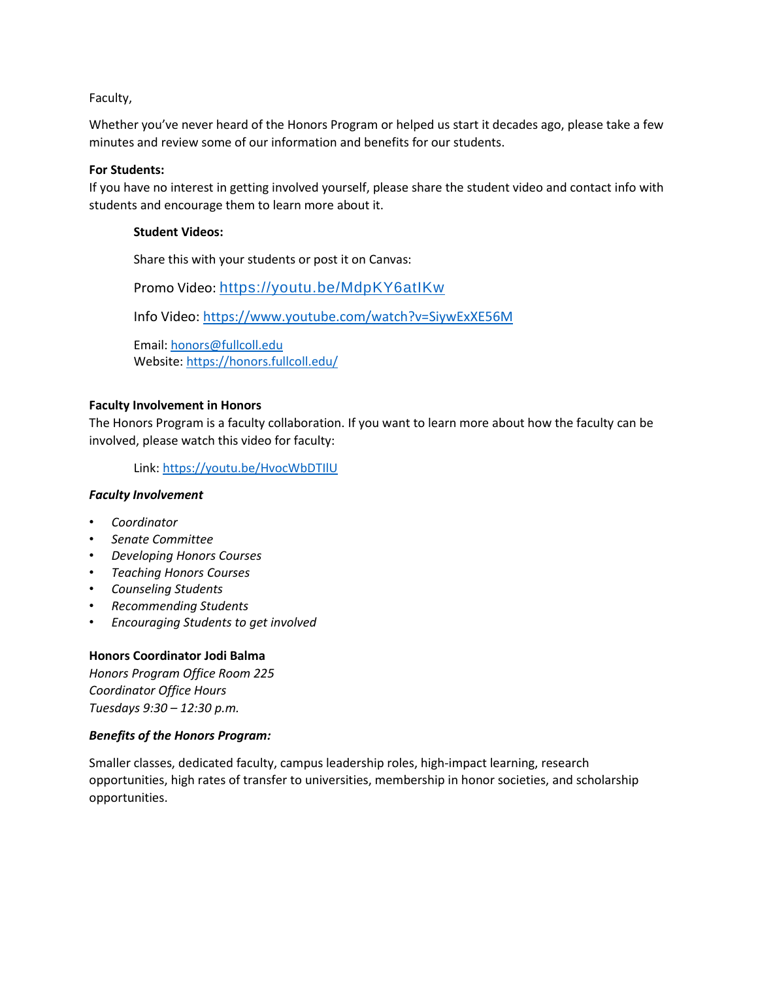Faculty,

Whether you've never heard of the Honors Program or helped us start it decades ago, please take a few minutes and review some of our information and benefits for our students.

# **For Students:**

If you have no interest in getting involved yourself, please share the student video and contact info with students and encourage them to learn more about it.

# **Student Videos:**

Share this with your students or post it on Canvas:

Promo Video: <https://youtu.be/MdpKY6atIKw>

Info Video:<https://www.youtube.com/watch?v=SiywExXE56M>

Email: [honors@fullcoll.edu](mailto:honors@fullcoll.edu)  Website[: https://honors.fullcoll.edu/](https://honors.fullcoll.edu/)

# **Faculty Involvement in Honors**

The Honors Program is a faculty collaboration. If you want to learn more about how the faculty can be involved, please watch this video for faculty:

Link:<https://youtu.be/HvocWbDTIlU>

# *Faculty Involvement*

- *Coordinator*
- *Senate Committee*
- *Developing Honors Courses*
- *Teaching Honors Courses*
- *Counseling Students*
- *Recommending Students*
- *Encouraging Students to get involved*

# **Honors Coordinator Jodi Balma**

*Honors Program Office Room 225 Coordinator Office Hours Tuesdays 9:30 – 12:30 p.m.*

# *Benefits of the Honors Program:*

Smaller classes, dedicated faculty, campus leadership roles, high-impact learning, research opportunities, high rates of transfer to universities, membership in honor societies, and scholarship opportunities.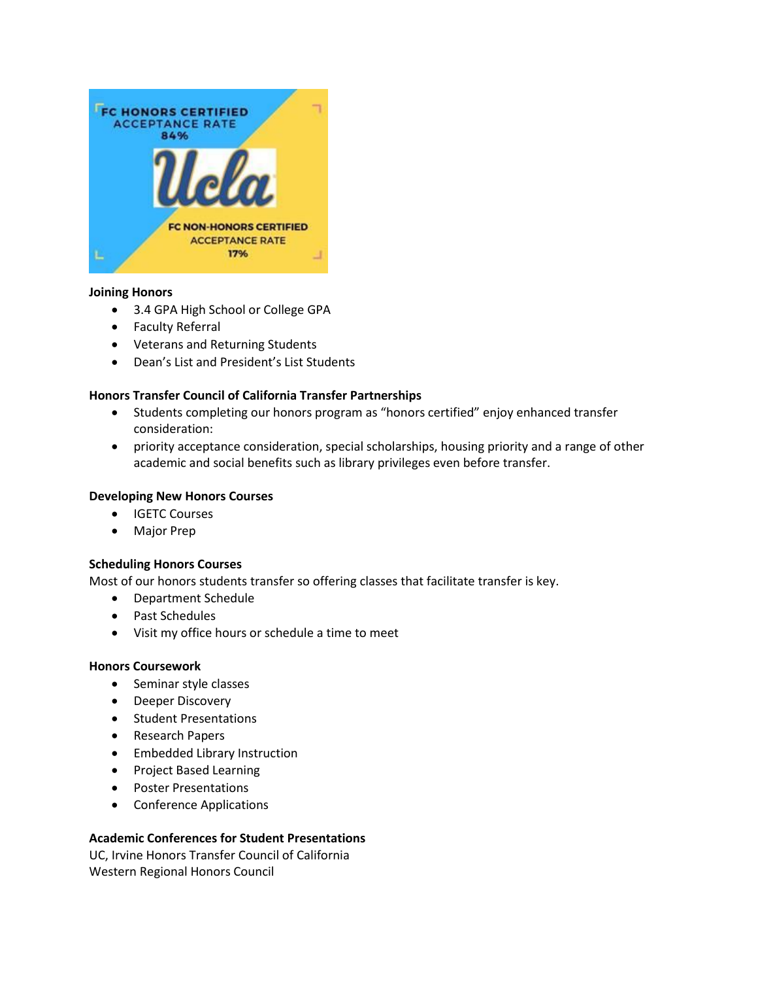

# **Joining Honors**

- 3.4 GPA High School or College GPA
- Faculty Referral
- Veterans and Returning Students
- Dean's List and President's List Students

# **Honors Transfer Council of California Transfer Partnerships**

- Students completing our honors program as "honors certified" enjoy enhanced transfer consideration:
- priority acceptance consideration, special scholarships, housing priority and a range of other academic and social benefits such as library privileges even before transfer.

### **Developing New Honors Courses**

- IGETC Courses
- Major Prep

# **Scheduling Honors Courses**

Most of our honors students transfer so offering classes that facilitate transfer is key.

- Department Schedule
- Past Schedules
- Visit my office hours or schedule a time to meet

#### **Honors Coursework**

- Seminar style classes
- Deeper Discovery
- Student Presentations
- Research Papers
- Embedded Library Instruction
- Project Based Learning
- Poster Presentations
- Conference Applications

# **Academic Conferences for Student Presentations**

UC, Irvine Honors Transfer Council of California Western Regional Honors Council